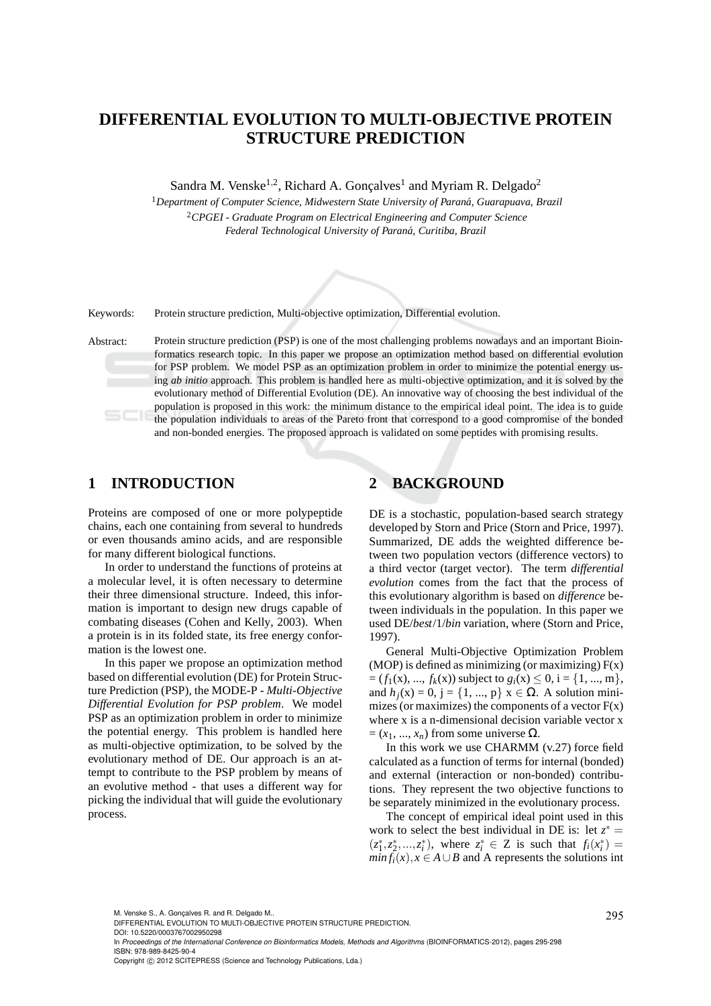# **DIFFERENTIAL EVOLUTION TO MULTI-OBJECTIVE PROTEIN STRUCTURE PREDICTION**

Sandra M. Venske<sup>1,2</sup>, Richard A. Gonçalves<sup>1</sup> and Myriam R. Delgado<sup>2</sup>

<sup>1</sup> Department of Computer Science, Midwestern State University of Paraná, Guarapuava, Brazil <sup>2</sup>*CPGEI - Graduate Program on Electrical Engineering and Computer Science Federal Technological University of Paran´a, Curitiba, Brazil*



Keywords: Protein structure prediction, Multi-objective optimization, Differential evolution.

Abstract: Protein structure prediction (PSP) is one of the most challenging problems nowadays and an important Bioinformatics research topic. In this paper we propose an optimization method based on differential evolution for PSP problem. We model PSP as an optimization problem in order to minimize the potential energy using *ab initio* approach. This problem is handled here as multi-objective optimization, and it is solved by the evolutionary method of Differential Evolution (DE). An innovative way of choosing the best individual of the population is proposed in this work: the minimum distance to the empirical ideal point. The idea is to guide the population individuals to areas of the Pareto front that correspond to a good compromise of the bonded and non-bonded energies. The proposed approach is validated on some peptides with promising results.

## **1 INTRODUCTION**

Proteins are composed of one or more polypeptide chains, each one containing from several to hundreds or even thousands amino acids, and are responsible for many different biological functions.

In order to understand the functions of proteins at a molecular level, it is often necessary to determine their three dimensional structure. Indeed, this information is important to design new drugs capable of combating diseases (Cohen and Kelly, 2003). When a protein is in its folded state, its free energy conformation is the lowest one.

In this paper we propose an optimization method based on differential evolution (DE) for Protein Structure Prediction (PSP), the MODE-P - *Multi-Objective Differential Evolution for PSP problem*. We model PSP as an optimization problem in order to minimize the potential energy. This problem is handled here as multi-objective optimization, to be solved by the evolutionary method of DE. Our approach is an attempt to contribute to the PSP problem by means of an evolutive method - that uses a different way for picking the individual that will guide the evolutionary process.

### **2 BACKGROUND**

DE is a stochastic, population-based search strategy developed by Storn and Price (Storn and Price, 1997). Summarized, DE adds the weighted difference between two population vectors (difference vectors) to a third vector (target vector). The term *differential evolution* comes from the fact that the process of this evolutionary algorithm is based on *difference* between individuals in the population. In this paper we used DE/*best*/1/*bin* variation, where (Storn and Price, 1997).

General Multi-Objective Optimization Problem (MOP) is defined as minimizing (or maximizing)  $F(x)$  $= (f_1(x), ..., f_k(x))$  subject to  $g_i(x) \le 0$ ,  $i = \{1, ..., m\},$ and  $h_i(x) = 0$ ,  $j = \{1, ..., p\}$   $x \in \Omega$ . A solution minimizes (or maximizes) the components of a vector  $F(x)$ where x is a n-dimensional decision variable vector x  $=(x_1, ..., x_n)$  from some universe  $\Omega$ .

In this work we use CHARMM (v.27) force field calculated as a function of terms for internal (bonded) and external (interaction or non-bonded) contributions. They represent the two objective functions to be separately minimized in the evolutionary process.

The concept of empirical ideal point used in this work to select the best individual in DE is: let  $z^* =$  $(z_1^*, z_2^*, ..., z_i^*)$ , where  $z_i^* \in \mathbb{Z}$  is such that  $f_i(x_i^*) =$ *min*  $f_i(x)$ ,  $x \in A \cup B$  and A represents the solutions int

DOI: 10.5220/0003767002950298

In Proceedings of the International Conference on Bioinformatics Models, Methods and Algorithms (BIOINFORMATICS-2012), pages 295-298 ISBN: 978-989-8425-90-4

M. Venske S., A. Gonçalves R. and R. Delgado M..<br>DIFFERENTIAL EVOLUTION TO MULTI-OBJECTIVE PROTEIN STRUCTURE PREDICTION.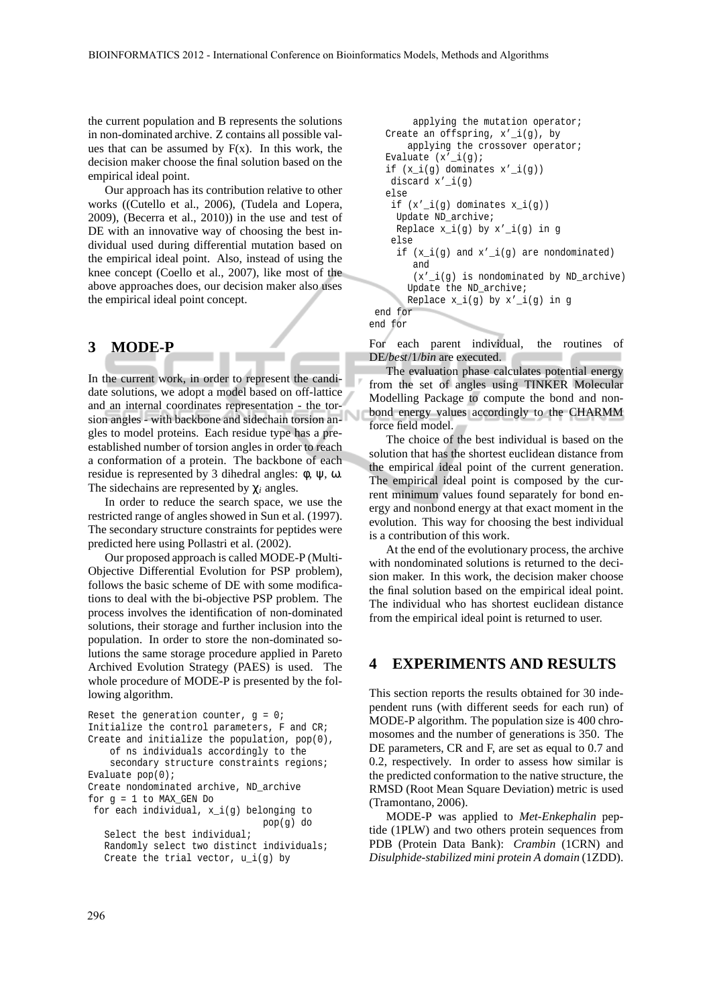the current population and B represents the solutions in non-dominated archive. Z contains all possible values that can be assumed by  $F(x)$ . In this work, the decision maker choose the final solution based on the empirical ideal point.

Our approach has its contribution relative to other works ((Cutello et al., 2006), (Tudela and Lopera, 2009), (Becerra et al., 2010)) in the use and test of DE with an innovative way of choosing the best individual used during differential mutation based on the empirical ideal point. Also, instead of using the knee concept (Coello et al., 2007), like most of the above approaches does, our decision maker also uses the empirical ideal point concept.

#### **3 MODE-P**

In the current work, in order to represent the candidate solutions, we adopt a model based on off-lattice and an internal coordinates representation - the torsion angles - with backbone and sidechain torsion angles to model proteins. Each residue type has a preestablished number of torsion angles in order to reach a conformation of a protein. The backbone of each residue is represented by 3 dihedral angles:  $φ$ ,  $ψ$ ,  $ω$ . The sidechains are represented by χ*<sup>i</sup>* angles.

In order to reduce the search space, we use the restricted range of angles showed in Sun et al. (1997). The secondary structure constraints for peptides were predicted here using Pollastri et al. (2002).

Our proposed approach is called MODE-P (Multi-Objective Differential Evolution for PSP problem), follows the basic scheme of DE with some modifications to deal with the bi-objective PSP problem. The process involves the identification of non-dominated solutions, their storage and further inclusion into the population. In order to store the non-dominated solutions the same storage procedure applied in Pareto Archived Evolution Strategy (PAES) is used. The whole procedure of MODE-P is presented by the following algorithm.

```
Reset the generation counter, q = 0;
Initialize the control parameters, F and CR;
Create and initialize the population, pop(0),
    of ns individuals accordingly to the
    secondary structure constraints regions;
Evaluate pop(0);
Create nondominated archive, ND_archive
for q = 1 to MAX GEN Do
 for each individual, x_i(g) belonging to
                                pop(g) do
   Select the best individual;
   Randomly select two distinct individuals;
   Create the trial vector, u_i(q) by
```

```
applying the mutation operator;
   Create an offspring, x'_i(g), by
      applying the crossover operator;
  Evaluate (x'-i(g));
  if (x_i(g) dominates x'_i(g)discard x'_i(g)
   else
    if (x'_i(g) dominates x_i(g))
    Update ND archive;
    Replace x_i(g) by x'_{i}(g) in g
    else
    if (x_i(g) and x'_i(g) are nondominated)
        and
        (x'_i(j) is nondominated by ND_archive)
       Update the ND_archive;
      Replace x_i(g) by x'_i(g) in g
end for
end for
```
For each parent individual, the routines of DE/*best*/1/*bin* are executed.

The evaluation phase calculates potential energy from the set of angles using TINKER Molecular Modelling Package to compute the bond and nonbond energy values accordingly to the CHARMM force field model.

The choice of the best individual is based on the solution that has the shortest euclidean distance from the empirical ideal point of the current generation. The empirical ideal point is composed by the current minimum values found separately for bond energy and nonbond energy at that exact moment in the evolution. This way for choosing the best individual is a contribution of this work.

At the end of the evolutionary process, the archive with nondominated solutions is returned to the decision maker. In this work, the decision maker choose the final solution based on the empirical ideal point. The individual who has shortest euclidean distance from the empirical ideal point is returned to user.

#### **4 EXPERIMENTS AND RESULTS**

This section reports the results obtained for 30 independent runs (with different seeds for each run) of MODE-P algorithm. The population size is 400 chromosomes and the number of generations is 350. The DE parameters, CR and F, are set as equal to 0.7 and 0.2, respectively. In order to assess how similar is the predicted conformation to the native structure, the RMSD (Root Mean Square Deviation) metric is used (Tramontano, 2006).

MODE-P was applied to *Met-Enkephalin* peptide (1PLW) and two others protein sequences from PDB (Protein Data Bank): *Crambin* (1CRN) and *Disulphide-stabilized mini protein A domain* (1ZDD).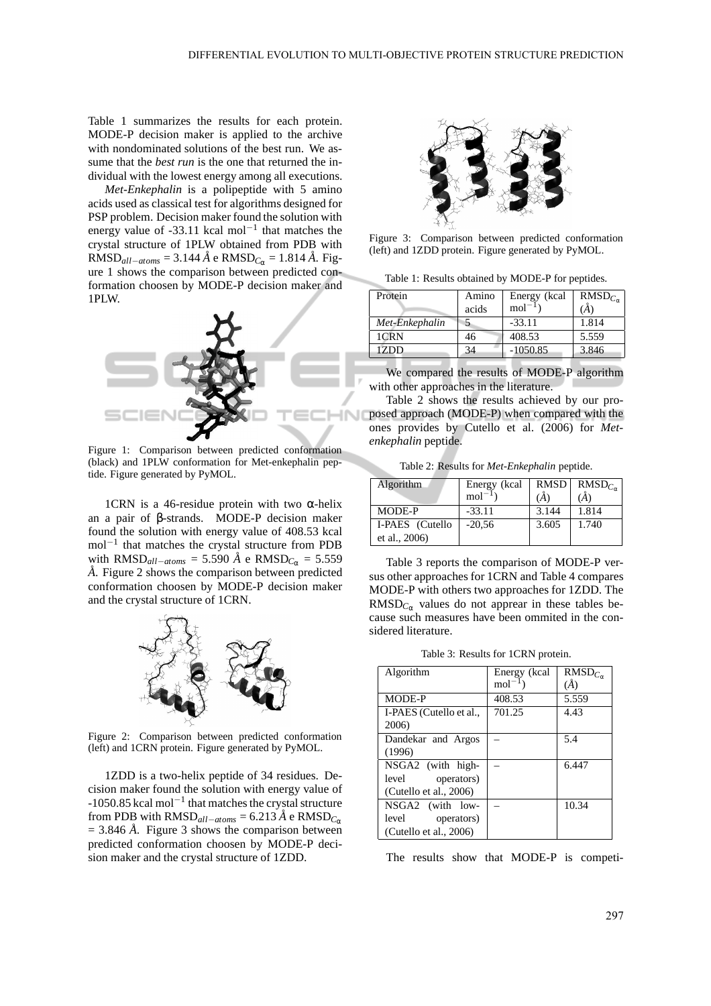Table 1 summarizes the results for each protein. MODE-P decision maker is applied to the archive with nondominated solutions of the best run. We assume that the *best run* is the one that returned the individual with the lowest energy among all executions.

*Met-Enkephalin* is a polipeptide with 5 amino acids used as classical test for algorithms designed for PSP problem. Decision maker found the solution with energy value of -33.11 kcal mol<sup>-1</sup> that matches the crystal structure of 1PLW obtained from PDB with  $RMSD<sub>all-atoms</sub> = 3.144 \text{ Å}$  e  $RMSD<sub>C<sub>α</sub></sub> = 1.814 \text{ Å}$ . Figure 1 shows the comparison between predicted conformation choosen by MODE-P decision maker and 1PLW.



Figure 1: Comparison between predicted conformation (black) and 1PLW conformation for Met-enkephalin peptide. Figure generated by PyMOL.

1CRN is a 46-residue protein with two  $\alpha$ -helix an a pair of β-strands. MODE-P decision maker found the solution with energy value of 408.53 kcal mol<sup>-1</sup> that matches the crystal structure from PDB with  $RMSD_{all-atoms}$  = 5.590 Å e  $RMSD_{C_{\alpha}}$  = 5.559 A. Figure 2 shows the comparison between predicted conformation choosen by MODE-P decision maker and the crystal structure of 1CRN.



Figure 2: Comparison between predicted conformation (left) and 1CRN protein. Figure generated by PyMOL.

1ZDD is a two-helix peptide of 34 residues. Decision maker found the solution with energy value of -1050.85 kcal mol−<sup>1</sup> that matches the crystal structure from PDB with  $RMSD_{all-atoms} = 6.213 \text{ Å}$  e  $RMSD_{C_{\alpha}}$  $= 3.846 \text{ Å}$ . Figure 3 shows the comparison between predicted conformation choosen by MODE-P decision maker and the crystal structure of 1ZDD.



Figure 3: Comparison between predicted conformation (left) and 1ZDD protein. Figure generated by PyMOL.

Table 1: Results obtained by MODE-P for peptides.

| Protein        | Amino | Energy (kcal | RMSD <sub>C</sub> |
|----------------|-------|--------------|-------------------|
|                | acids | $mol-1$      | (Å)               |
| Met-Enkephalin |       | $-33.11$     | 1.814             |
| 1CRN           | 46    | 408.53       | 5.559             |
| 1ZDD           | 34    | $-1050.85$   | 3.846             |
|                |       |              |                   |

We compared the results of MODE-P algorithm with other approaches in the literature.

Table 2 shows the results achieved by our proposed approach (MODE-P) when compared with the ones provides by Cutello et al. (2006) for *Metenkephalin* peptide.

Table 2: Results for *Met-Enkephalin* peptide.

| Algorithm       | Energy (kcal | RMSD  | $RMSD_{C_{\infty}}$ |
|-----------------|--------------|-------|---------------------|
|                 | $mol-1$      | (A)   | (Ă)                 |
| MODE-P          | $-33.11$     | 3.144 | 1.814               |
| I-PAES (Cutello | $-20.56$     | 3.605 | 1.740               |
| et al., 2006)   |              |       |                     |

Table 3 reports the comparison of MODE-P versus other approaches for 1CRN and Table 4 compares MODE-P with others two approaches for 1ZDD. The  $RMSD<sub>C<sub>\alpha</sub></sub>$  values do not apprear in these tables because such measures have been ommited in the considered literature.

Table 3: Results for 1CRN protein.

| Algorithm                 | Energy (kcal<br>$mol^{-1}$ | $RMSD_{C_{\alpha}}$<br>$\mathcal{A}$ |
|---------------------------|----------------------------|--------------------------------------|
| MODE-P                    | 408.53                     | 5.559                                |
| I-PAES (Cutello et al.,   | 701.25                     | 4.43                                 |
| 2006)                     |                            |                                      |
| Dandekar and Argos        |                            | 5.4                                  |
| (1996)                    |                            |                                      |
| NSGA2 (with high-         |                            | 6.447                                |
| operators)<br>level       |                            |                                      |
| (Cutello et al., 2006)    |                            |                                      |
| NSGA2 (with low-          |                            | 10.34                                |
| operators)<br>level       |                            |                                      |
| (Cutello et al., $2006$ ) |                            |                                      |

The results show that MODE-P is competi-